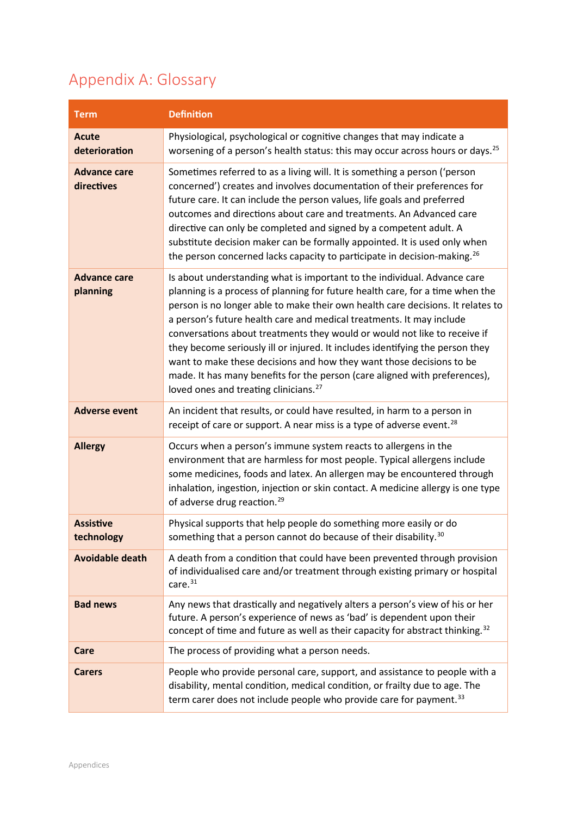## Appendix A: Glossary

| <b>Term</b>                       | <b>Definition</b>                                                                                                                                                                                                                                                                                                                                                                                                                                                                                                                                                                                                                                                                             |
|-----------------------------------|-----------------------------------------------------------------------------------------------------------------------------------------------------------------------------------------------------------------------------------------------------------------------------------------------------------------------------------------------------------------------------------------------------------------------------------------------------------------------------------------------------------------------------------------------------------------------------------------------------------------------------------------------------------------------------------------------|
| <b>Acute</b><br>deterioration     | Physiological, psychological or cognitive changes that may indicate a<br>worsening of a person's health status: this may occur across hours or days. <sup>25</sup>                                                                                                                                                                                                                                                                                                                                                                                                                                                                                                                            |
| <b>Advance care</b><br>directives | Sometimes referred to as a living will. It is something a person ('person<br>concerned') creates and involves documentation of their preferences for<br>future care. It can include the person values, life goals and preferred<br>outcomes and directions about care and treatments. An Advanced care<br>directive can only be completed and signed by a competent adult. A<br>substitute decision maker can be formally appointed. It is used only when<br>the person concerned lacks capacity to participate in decision-making. <sup>26</sup>                                                                                                                                             |
| <b>Advance care</b><br>planning   | Is about understanding what is important to the individual. Advance care<br>planning is a process of planning for future health care, for a time when the<br>person is no longer able to make their own health care decisions. It relates to<br>a person's future health care and medical treatments. It may include<br>conversations about treatments they would or would not like to receive if<br>they become seriously ill or injured. It includes identifying the person they<br>want to make these decisions and how they want those decisions to be<br>made. It has many benefits for the person (care aligned with preferences),<br>loved ones and treating clinicians. <sup>27</sup> |
| <b>Adverse event</b>              | An incident that results, or could have resulted, in harm to a person in<br>receipt of care or support. A near miss is a type of adverse event. <sup>28</sup>                                                                                                                                                                                                                                                                                                                                                                                                                                                                                                                                 |
| <b>Allergy</b>                    | Occurs when a person's immune system reacts to allergens in the<br>environment that are harmless for most people. Typical allergens include<br>some medicines, foods and latex. An allergen may be encountered through<br>inhalation, ingestion, injection or skin contact. A medicine allergy is one type<br>of adverse drug reaction. <sup>29</sup>                                                                                                                                                                                                                                                                                                                                         |
| <b>Assistive</b><br>technology    | Physical supports that help people do something more easily or do<br>something that a person cannot do because of their disability. <sup>30</sup>                                                                                                                                                                                                                                                                                                                                                                                                                                                                                                                                             |
| <b>Avoidable death</b>            | A death from a condition that could have been prevented through provision<br>of individualised care and/or treatment through existing primary or hospital<br>care. <sup>31</sup>                                                                                                                                                                                                                                                                                                                                                                                                                                                                                                              |
| <b>Bad news</b>                   | Any news that drastically and negatively alters a person's view of his or her<br>future. A person's experience of news as 'bad' is dependent upon their<br>concept of time and future as well as their capacity for abstract thinking. <sup>32</sup>                                                                                                                                                                                                                                                                                                                                                                                                                                          |
| Care                              | The process of providing what a person needs.                                                                                                                                                                                                                                                                                                                                                                                                                                                                                                                                                                                                                                                 |
| <b>Carers</b>                     | People who provide personal care, support, and assistance to people with a<br>disability, mental condition, medical condition, or frailty due to age. The<br>term carer does not include people who provide care for payment. <sup>33</sup>                                                                                                                                                                                                                                                                                                                                                                                                                                                   |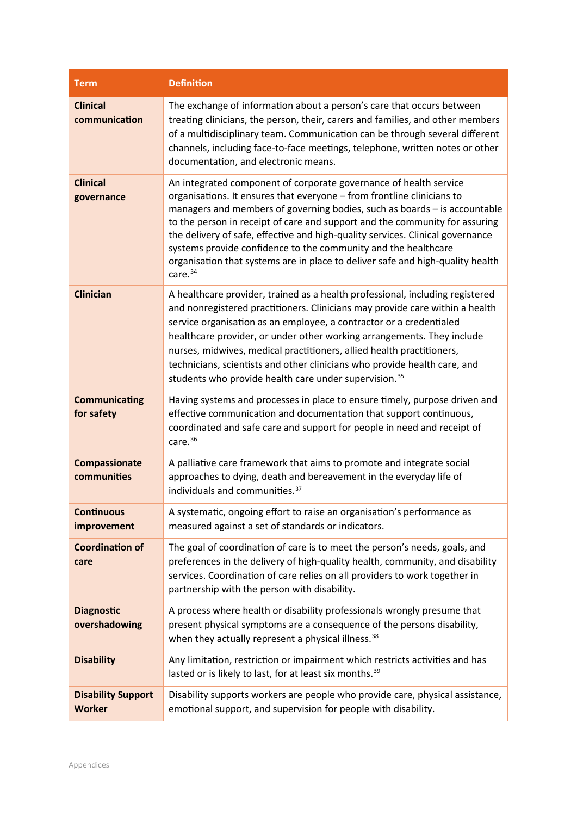| <b>Term</b>                                | <b>Definition</b>                                                                                                                                                                                                                                                                                                                                                                                                                                                                                                                                                    |
|--------------------------------------------|----------------------------------------------------------------------------------------------------------------------------------------------------------------------------------------------------------------------------------------------------------------------------------------------------------------------------------------------------------------------------------------------------------------------------------------------------------------------------------------------------------------------------------------------------------------------|
| <b>Clinical</b><br>communication           | The exchange of information about a person's care that occurs between<br>treating clinicians, the person, their, carers and families, and other members<br>of a multidisciplinary team. Communication can be through several different<br>channels, including face-to-face meetings, telephone, written notes or other<br>documentation, and electronic means.                                                                                                                                                                                                       |
| <b>Clinical</b><br>governance              | An integrated component of corporate governance of health service<br>organisations. It ensures that everyone - from frontline clinicians to<br>managers and members of governing bodies, such as boards - is accountable<br>to the person in receipt of care and support and the community for assuring<br>the delivery of safe, effective and high-quality services. Clinical governance<br>systems provide confidence to the community and the healthcare<br>organisation that systems are in place to deliver safe and high-quality health<br>care. <sup>34</sup> |
| <b>Clinician</b>                           | A healthcare provider, trained as a health professional, including registered<br>and nonregistered practitioners. Clinicians may provide care within a health<br>service organisation as an employee, a contractor or a credentialed<br>healthcare provider, or under other working arrangements. They include<br>nurses, midwives, medical practitioners, allied health practitioners,<br>technicians, scientists and other clinicians who provide health care, and<br>students who provide health care under supervision. <sup>35</sup>                            |
| <b>Communicating</b><br>for safety         | Having systems and processes in place to ensure timely, purpose driven and<br>effective communication and documentation that support continuous,<br>coordinated and safe care and support for people in need and receipt of<br>care. $36$                                                                                                                                                                                                                                                                                                                            |
| Compassionate<br>communities               | A palliative care framework that aims to promote and integrate social<br>approaches to dying, death and bereavement in the everyday life of<br>individuals and communities. <sup>37</sup>                                                                                                                                                                                                                                                                                                                                                                            |
| <b>Continuous</b><br>improvement           | A systematic, ongoing effort to raise an organisation's performance as<br>measured against a set of standards or indicators.                                                                                                                                                                                                                                                                                                                                                                                                                                         |
| <b>Coordination of</b><br>care             | The goal of coordination of care is to meet the person's needs, goals, and<br>preferences in the delivery of high-quality health, community, and disability<br>services. Coordination of care relies on all providers to work together in<br>partnership with the person with disability.                                                                                                                                                                                                                                                                            |
| <b>Diagnostic</b><br>overshadowing         | A process where health or disability professionals wrongly presume that<br>present physical symptoms are a consequence of the persons disability,<br>when they actually represent a physical illness. <sup>38</sup>                                                                                                                                                                                                                                                                                                                                                  |
| <b>Disability</b>                          | Any limitation, restriction or impairment which restricts activities and has<br>lasted or is likely to last, for at least six months. <sup>39</sup>                                                                                                                                                                                                                                                                                                                                                                                                                  |
| <b>Disability Support</b><br><b>Worker</b> | Disability supports workers are people who provide care, physical assistance,<br>emotional support, and supervision for people with disability.                                                                                                                                                                                                                                                                                                                                                                                                                      |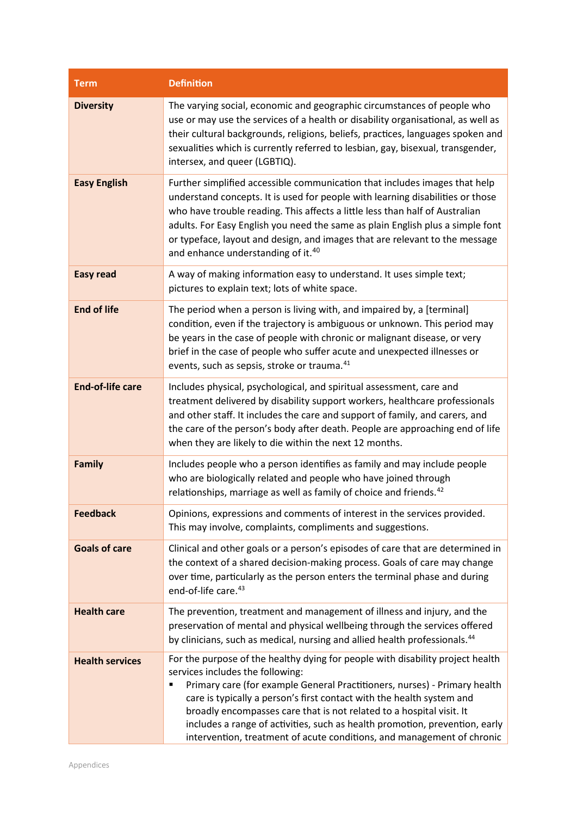| <b>Term</b>             | <b>Definition</b>                                                                                                                                                                                                                                                                                                                                                                                                                                                                                              |
|-------------------------|----------------------------------------------------------------------------------------------------------------------------------------------------------------------------------------------------------------------------------------------------------------------------------------------------------------------------------------------------------------------------------------------------------------------------------------------------------------------------------------------------------------|
| <b>Diversity</b>        | The varying social, economic and geographic circumstances of people who<br>use or may use the services of a health or disability organisational, as well as<br>their cultural backgrounds, religions, beliefs, practices, languages spoken and<br>sexualities which is currently referred to lesbian, gay, bisexual, transgender,<br>intersex, and queer (LGBTIQ).                                                                                                                                             |
| <b>Easy English</b>     | Further simplified accessible communication that includes images that help<br>understand concepts. It is used for people with learning disabilities or those<br>who have trouble reading. This affects a little less than half of Australian<br>adults. For Easy English you need the same as plain English plus a simple font<br>or typeface, layout and design, and images that are relevant to the message<br>and enhance understanding of it. <sup>40</sup>                                                |
| <b>Easy read</b>        | A way of making information easy to understand. It uses simple text;<br>pictures to explain text; lots of white space.                                                                                                                                                                                                                                                                                                                                                                                         |
| <b>End of life</b>      | The period when a person is living with, and impaired by, a [terminal]<br>condition, even if the trajectory is ambiguous or unknown. This period may<br>be years in the case of people with chronic or malignant disease, or very<br>brief in the case of people who suffer acute and unexpected illnesses or<br>events, such as sepsis, stroke or trauma. <sup>41</sup>                                                                                                                                       |
| <b>End-of-life care</b> | Includes physical, psychological, and spiritual assessment, care and<br>treatment delivered by disability support workers, healthcare professionals<br>and other staff. It includes the care and support of family, and carers, and<br>the care of the person's body after death. People are approaching end of life<br>when they are likely to die within the next 12 months.                                                                                                                                 |
| <b>Family</b>           | Includes people who a person identifies as family and may include people<br>who are biologically related and people who have joined through<br>relationships, marriage as well as family of choice and friends. <sup>42</sup>                                                                                                                                                                                                                                                                                  |
| <b>Feedback</b>         | Opinions, expressions and comments of interest in the services provided.<br>This may involve, complaints, compliments and suggestions.                                                                                                                                                                                                                                                                                                                                                                         |
| <b>Goals of care</b>    | Clinical and other goals or a person's episodes of care that are determined in<br>the context of a shared decision-making process. Goals of care may change<br>over time, particularly as the person enters the terminal phase and during<br>end-of-life care. <sup>43</sup>                                                                                                                                                                                                                                   |
| <b>Health care</b>      | The prevention, treatment and management of illness and injury, and the<br>preservation of mental and physical wellbeing through the services offered<br>by clinicians, such as medical, nursing and allied health professionals. <sup>44</sup>                                                                                                                                                                                                                                                                |
| <b>Health services</b>  | For the purpose of the healthy dying for people with disability project health<br>services includes the following:<br>Primary care (for example General Practitioners, nurses) - Primary health<br>п<br>care is typically a person's first contact with the health system and<br>broadly encompasses care that is not related to a hospital visit. It<br>includes a range of activities, such as health promotion, prevention, early<br>intervention, treatment of acute conditions, and management of chronic |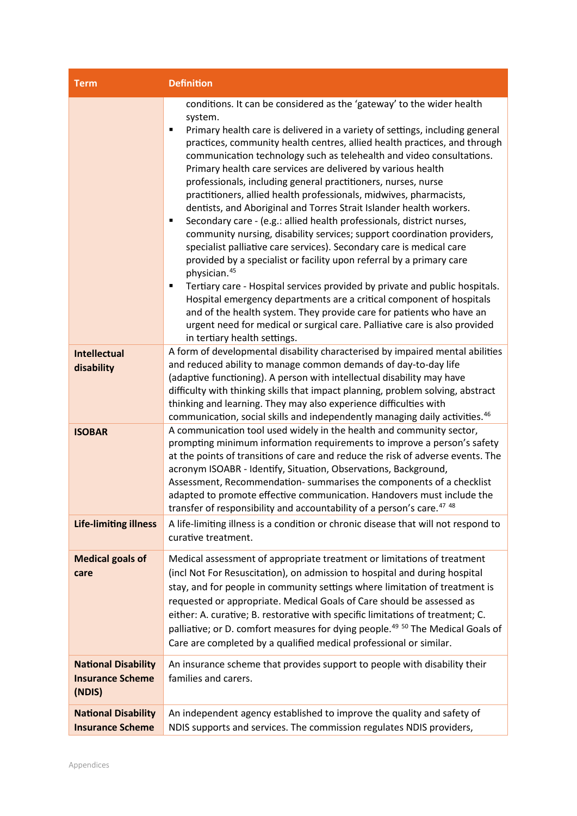| <b>Term</b>                                                     | <b>Definition</b>                                                                                                                                                                                                                                                                                                                                                                                                                                                                                                                                                                                                                                                                                                                                                                                                                                                                                                                                                                                                                                                                                                                                                                                                                                                                               |
|-----------------------------------------------------------------|-------------------------------------------------------------------------------------------------------------------------------------------------------------------------------------------------------------------------------------------------------------------------------------------------------------------------------------------------------------------------------------------------------------------------------------------------------------------------------------------------------------------------------------------------------------------------------------------------------------------------------------------------------------------------------------------------------------------------------------------------------------------------------------------------------------------------------------------------------------------------------------------------------------------------------------------------------------------------------------------------------------------------------------------------------------------------------------------------------------------------------------------------------------------------------------------------------------------------------------------------------------------------------------------------|
|                                                                 | conditions. It can be considered as the 'gateway' to the wider health<br>system.<br>Primary health care is delivered in a variety of settings, including general<br>٠<br>practices, community health centres, allied health practices, and through<br>communication technology such as telehealth and video consultations.<br>Primary health care services are delivered by various health<br>professionals, including general practitioners, nurses, nurse<br>practitioners, allied health professionals, midwives, pharmacists,<br>dentists, and Aboriginal and Torres Strait Islander health workers.<br>Secondary care - (e.g.: allied health professionals, district nurses,<br>٠<br>community nursing, disability services; support coordination providers,<br>specialist palliative care services). Secondary care is medical care<br>provided by a specialist or facility upon referral by a primary care<br>physician. <sup>45</sup><br>Tertiary care - Hospital services provided by private and public hospitals.<br>п<br>Hospital emergency departments are a critical component of hospitals<br>and of the health system. They provide care for patients who have an<br>urgent need for medical or surgical care. Palliative care is also provided<br>in tertiary health settings. |
| <b>Intellectual</b><br>disability                               | A form of developmental disability characterised by impaired mental abilities<br>and reduced ability to manage common demands of day-to-day life<br>(adaptive functioning). A person with intellectual disability may have<br>difficulty with thinking skills that impact planning, problem solving, abstract<br>thinking and learning. They may also experience difficulties with<br>communication, social skills and independently managing daily activities. <sup>46</sup>                                                                                                                                                                                                                                                                                                                                                                                                                                                                                                                                                                                                                                                                                                                                                                                                                   |
| <b>ISOBAR</b>                                                   | A communication tool used widely in the health and community sector,<br>prompting minimum information requirements to improve a person's safety<br>at the points of transitions of care and reduce the risk of adverse events. The<br>acronym ISOABR - Identify, Situation, Observations, Background,<br>Assessment, Recommendation- summarises the components of a checklist<br>adapted to promote effective communication. Handovers must include the<br>transfer of responsibility and accountability of a person's care. <sup>47 48</sup>                                                                                                                                                                                                                                                                                                                                                                                                                                                                                                                                                                                                                                                                                                                                                   |
| <b>Life-limiting illness</b>                                    | A life-limiting illness is a condition or chronic disease that will not respond to<br>curative treatment.                                                                                                                                                                                                                                                                                                                                                                                                                                                                                                                                                                                                                                                                                                                                                                                                                                                                                                                                                                                                                                                                                                                                                                                       |
| <b>Medical goals of</b><br>care                                 | Medical assessment of appropriate treatment or limitations of treatment<br>(incl Not For Resuscitation), on admission to hospital and during hospital<br>stay, and for people in community settings where limitation of treatment is<br>requested or appropriate. Medical Goals of Care should be assessed as<br>either: A. curative; B. restorative with specific limitations of treatment; C.<br>palliative; or D. comfort measures for dying people. <sup>49 50</sup> The Medical Goals of<br>Care are completed by a qualified medical professional or similar.                                                                                                                                                                                                                                                                                                                                                                                                                                                                                                                                                                                                                                                                                                                             |
| <b>National Disability</b><br><b>Insurance Scheme</b><br>(NDIS) | An insurance scheme that provides support to people with disability their<br>families and carers.                                                                                                                                                                                                                                                                                                                                                                                                                                                                                                                                                                                                                                                                                                                                                                                                                                                                                                                                                                                                                                                                                                                                                                                               |
| <b>National Disability</b><br><b>Insurance Scheme</b>           | An independent agency established to improve the quality and safety of<br>NDIS supports and services. The commission regulates NDIS providers,                                                                                                                                                                                                                                                                                                                                                                                                                                                                                                                                                                                                                                                                                                                                                                                                                                                                                                                                                                                                                                                                                                                                                  |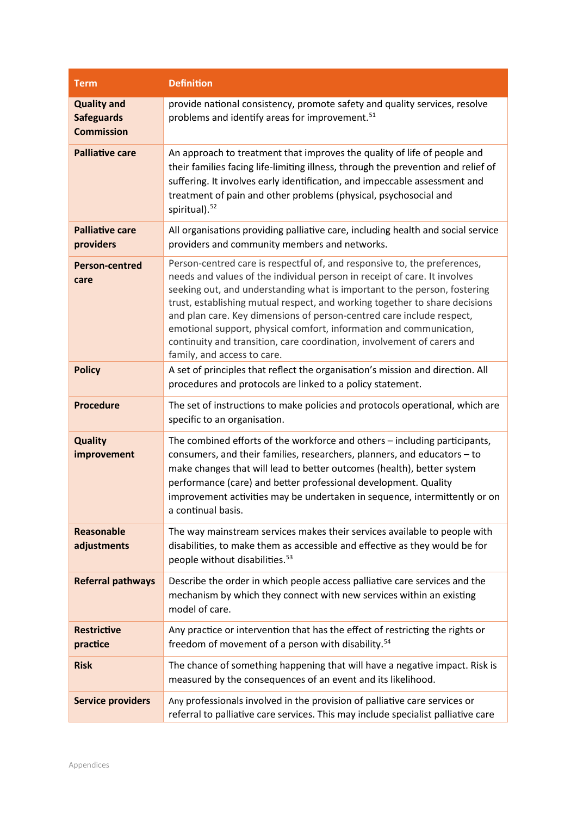| <b>Term</b>                                                  | <b>Definition</b>                                                                                                                                                                                                                                                                                                                                                                                                                                                                                                                                                            |
|--------------------------------------------------------------|------------------------------------------------------------------------------------------------------------------------------------------------------------------------------------------------------------------------------------------------------------------------------------------------------------------------------------------------------------------------------------------------------------------------------------------------------------------------------------------------------------------------------------------------------------------------------|
| <b>Quality and</b><br><b>Safeguards</b><br><b>Commission</b> | provide national consistency, promote safety and quality services, resolve<br>problems and identify areas for improvement. <sup>51</sup>                                                                                                                                                                                                                                                                                                                                                                                                                                     |
| <b>Palliative care</b>                                       | An approach to treatment that improves the quality of life of people and<br>their families facing life-limiting illness, through the prevention and relief of<br>suffering. It involves early identification, and impeccable assessment and<br>treatment of pain and other problems (physical, psychosocial and<br>spiritual). <sup>52</sup>                                                                                                                                                                                                                                 |
| <b>Palliative care</b><br>providers                          | All organisations providing palliative care, including health and social service<br>providers and community members and networks.                                                                                                                                                                                                                                                                                                                                                                                                                                            |
| <b>Person-centred</b><br>care                                | Person-centred care is respectful of, and responsive to, the preferences,<br>needs and values of the individual person in receipt of care. It involves<br>seeking out, and understanding what is important to the person, fostering<br>trust, establishing mutual respect, and working together to share decisions<br>and plan care. Key dimensions of person-centred care include respect,<br>emotional support, physical comfort, information and communication,<br>continuity and transition, care coordination, involvement of carers and<br>family, and access to care. |
| <b>Policy</b>                                                | A set of principles that reflect the organisation's mission and direction. All<br>procedures and protocols are linked to a policy statement.                                                                                                                                                                                                                                                                                                                                                                                                                                 |
| <b>Procedure</b>                                             | The set of instructions to make policies and protocols operational, which are<br>specific to an organisation.                                                                                                                                                                                                                                                                                                                                                                                                                                                                |
| <b>Quality</b><br>improvement                                | The combined efforts of the workforce and others - including participants,<br>consumers, and their families, researchers, planners, and educators - to<br>make changes that will lead to better outcomes (health), better system<br>performance (care) and better professional development. Quality<br>improvement activities may be undertaken in sequence, intermittently or on<br>a continual basis.                                                                                                                                                                      |
| <b>Reasonable</b><br>adjustments                             | The way mainstream services makes their services available to people with<br>disabilities, to make them as accessible and effective as they would be for<br>people without disabilities. <sup>53</sup>                                                                                                                                                                                                                                                                                                                                                                       |
| <b>Referral pathways</b>                                     | Describe the order in which people access palliative care services and the<br>mechanism by which they connect with new services within an existing<br>model of care.                                                                                                                                                                                                                                                                                                                                                                                                         |
| <b>Restrictive</b><br>practice                               | Any practice or intervention that has the effect of restricting the rights or<br>freedom of movement of a person with disability. <sup>54</sup>                                                                                                                                                                                                                                                                                                                                                                                                                              |
| <b>Risk</b>                                                  | The chance of something happening that will have a negative impact. Risk is<br>measured by the consequences of an event and its likelihood.                                                                                                                                                                                                                                                                                                                                                                                                                                  |
| <b>Service providers</b>                                     | Any professionals involved in the provision of palliative care services or<br>referral to palliative care services. This may include specialist palliative care                                                                                                                                                                                                                                                                                                                                                                                                              |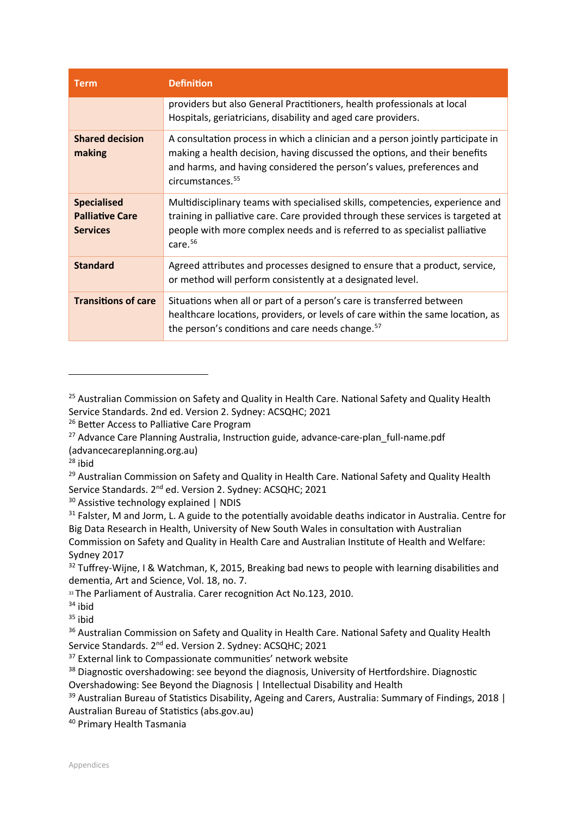| <b>Term</b>                                                     | <b>Definition</b>                                                                                                                                                                                                                                                      |
|-----------------------------------------------------------------|------------------------------------------------------------------------------------------------------------------------------------------------------------------------------------------------------------------------------------------------------------------------|
|                                                                 | providers but also General Practitioners, health professionals at local<br>Hospitals, geriatricians, disability and aged care providers.                                                                                                                               |
| <b>Shared decision</b><br>making                                | A consultation process in which a clinician and a person jointly participate in<br>making a health decision, having discussed the options, and their benefits<br>and harms, and having considered the person's values, preferences and<br>circumstances. <sup>55</sup> |
| <b>Specialised</b><br><b>Palliative Care</b><br><b>Services</b> | Multidisciplinary teams with specialised skills, competencies, experience and<br>training in palliative care. Care provided through these services is targeted at<br>people with more complex needs and is referred to as specialist palliative<br>care. <sup>56</sup> |
| <b>Standard</b>                                                 | Agreed attributes and processes designed to ensure that a product, service,<br>or method will perform consistently at a designated level.                                                                                                                              |
| <b>Transitions of care</b>                                      | Situations when all or part of a person's care is transferred between<br>healthcare locations, providers, or levels of care within the same location, as<br>the person's conditions and care needs change. <sup>57</sup>                                               |

<sup>37</sup> External link to Compassionate communities' network website

<sup>&</sup>lt;sup>25</sup> Australian Commission on Safety and Quality in Health Care. National Safety and Quality Health Service Standards. 2nd ed. Version 2. Sydney: ACSQHC; 2021

<sup>&</sup>lt;sup>26</sup> Better Access to Palliative Care Program

 $27$  Advance Care Planning Australia, Instruction guide, advance-care-plan full-name.pdf (advancecareplanning.org.au)

 $28$  ibid

<sup>&</sup>lt;sup>29</sup> Australian Commission on Safety and Quality in Health Care. National Safety and Quality Health Service Standards. 2nd ed. Version 2. Sydney: ACSQHC; 2021

 $30$  Assistive technology explained | NDIS

<sup>&</sup>lt;sup>31</sup> Falster, M and Jorm, L. A guide to the potentially avoidable deaths indicator in Australia. Centre for Big Data Research in Health, University of New South Wales in consultation with Australian Commission on Safety and Quality in Health Care and Australian Institute of Health and Welfare: Sydney 2017

<sup>&</sup>lt;sup>32</sup> Tuffrey-Wijne, I & Watchman, K, 2015, Breaking bad news to people with learning disabilities and dementia, Art and Science, Vol. 18, no. 7.

<sup>33</sup> The Parliament of Australia. Carer recognition Act No.123, 2010.

 $34$  ibid

 $35$  ibid

<sup>&</sup>lt;sup>36</sup> Australian Commission on Safety and Quality in Health Care. National Safety and Quality Health Service Standards. 2<sup>nd</sup> ed. Version 2. Sydney: ACSQHC; 2021

<sup>&</sup>lt;sup>38</sup> Diagnostic overshadowing: see beyond the diagnosis, University of Hertfordshire. Diagnostic Overshadowing: See Beyond the Diagnosis | Intellectual Disability and Health

 $39$  Australian Bureau of Statistics Disability, Ageing and Carers, Australia: Summary of Findings, 2018 | Australian Bureau of Statistics (abs.gov.au)

<sup>40</sup> Primary Health Tasmania